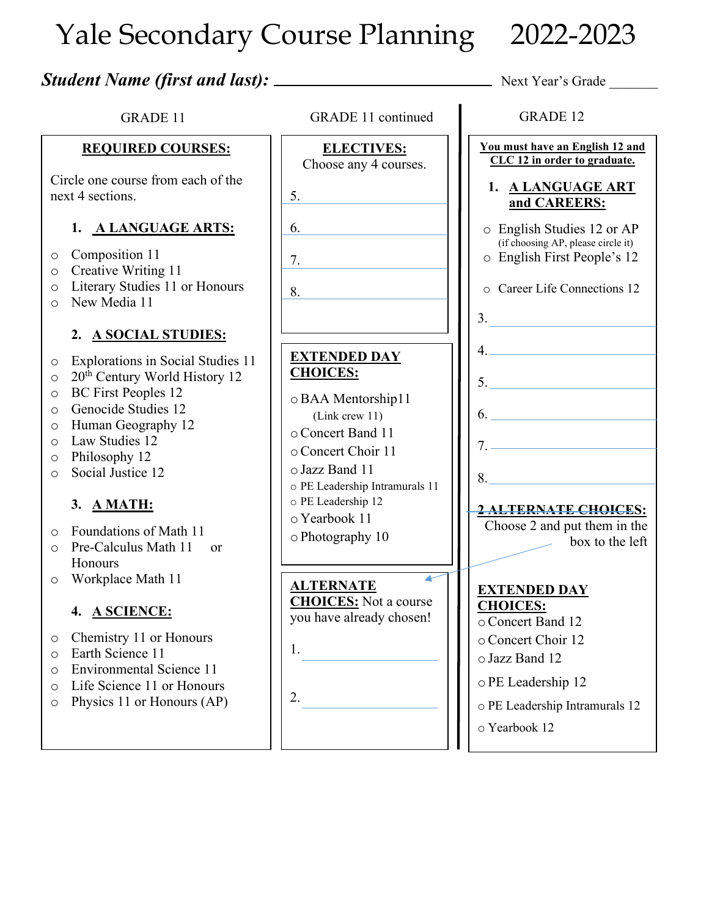# Yale Secondary Course Planning 2022-2023

| <b>GRADE 11</b>                                                                                                                                                                                                                                                                                                                                                                                                                                                                                                                                                                                                                              | <b>GRADE 11 continued</b>                                                                                                                                                                                                                                                                                                                           | <b>GRADE 12</b>                                                                                                                                                                                                                                                                                                                                                             |
|----------------------------------------------------------------------------------------------------------------------------------------------------------------------------------------------------------------------------------------------------------------------------------------------------------------------------------------------------------------------------------------------------------------------------------------------------------------------------------------------------------------------------------------------------------------------------------------------------------------------------------------------|-----------------------------------------------------------------------------------------------------------------------------------------------------------------------------------------------------------------------------------------------------------------------------------------------------------------------------------------------------|-----------------------------------------------------------------------------------------------------------------------------------------------------------------------------------------------------------------------------------------------------------------------------------------------------------------------------------------------------------------------------|
| <b>REQUIRED COURSES:</b><br>Circle one course from each of the<br>next 4 sections.<br>1. A LANGUAGE ARTS:<br>Composition 11<br>$\circ$<br>Creative Writing 11<br>$\circ$<br>Literary Studies 11 or Honours<br>$\circ$<br>New Media 11<br>$\Omega$<br>2. A SOCIAL STUDIES:<br>Explorations in Social Studies 11<br>$\circ$<br>20 <sup>th</sup> Century World History 12<br>$\circ$<br><b>BC</b> First Peoples 12<br>$\circ$<br>Genocide Studies 12<br>$\circ$<br>Human Geography 12<br>$\circ$<br>Law Studies 12<br>$\bigcirc$<br>Philosophy 12<br>$\circ$<br>Social Justice 12<br>$\circ$<br>3. A MATH:<br>Foundations of Math 11<br>$\circ$ | <b>ELECTIVES:</b><br>Choose any 4 courses.<br>5.<br>6.<br>7.<br>8.<br><u> 1989 - Andrea State</u><br><b>EXTENDED DAY</b><br><b>CHOICES:</b><br>o BAA Mentorship11<br>(Link crew 11)<br>○ Concert Band 11<br>o Concert Choir 11<br>o Jazz Band 11<br>o PE Leadership Intramurals 11<br>o PE Leadership 12<br>o Yearbook 11<br>$\circ$ Photography 10 | You must have an English 12 and<br>CLC 12 in order to graduate.<br>1. A LANGUAGE ART<br>and CAREERS:<br>o English Studies 12 or AP<br>(if choosing AP, please circle it)<br>o English First People's 12<br>o Career Life Connections 12<br>3.<br>4.<br>5.<br>6.<br>$7.$ $\overline{\phantom{a}}$<br>2 ALTERNATE CHOICES:<br>Choose 2 and put them in the<br>box to the left |
| Honours<br>Workplace Math 11<br>O<br>4. A SCIENCE:<br>Chemistry 11 or Honours<br>O<br>Earth Science 11<br>$\circ$<br><b>Environmental Science 11</b><br>$\circ$<br>Life Science 11 or Honours<br>$\circ$<br>Physics 11 or Honours (AP)<br>$\circ$                                                                                                                                                                                                                                                                                                                                                                                            | <b>ALTERNATE</b><br><b>CHOICES:</b> Not a course<br>you have already chosen!<br>1.<br>2.                                                                                                                                                                                                                                                            | <b>EXTENDED DAY</b><br><b>CHOICES:</b><br>o Concert Band 12<br>o Concert Choir 12<br>o Jazz Band 12<br>o PE Leadership 12<br>o PE Leadership Intramurals 12<br>o Yearbook 12                                                                                                                                                                                                |